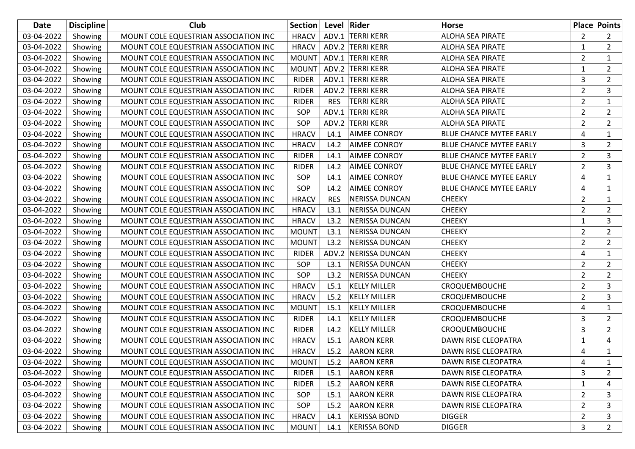| Date       | <b>Discipline</b> | Club                                  | Section      | Level Rider |                       | <b>Horse</b>                   |                | <b>Place Points</b>   |
|------------|-------------------|---------------------------------------|--------------|-------------|-----------------------|--------------------------------|----------------|-----------------------|
| 03-04-2022 | Showing           | MOUNT COLE EQUESTRIAN ASSOCIATION INC | <b>HRACV</b> |             | ADV.1 TERRI KERR      | <b>ALOHA SEA PIRATE</b>        | $\overline{2}$ | $\mathbf{2}^{\prime}$ |
| 03-04-2022 | Showing           | MOUNT COLE EQUESTRIAN ASSOCIATION INC | <b>HRACV</b> |             | ADV.2 TERRI KERR      | <b>ALOHA SEA PIRATE</b>        | 1              | $\overline{2}$        |
| 03-04-2022 | Showing           | MOUNT COLE EQUESTRIAN ASSOCIATION INC | <b>MOUNT</b> |             | ADV.1 TERRI KERR      | <b>ALOHA SEA PIRATE</b>        | $\overline{2}$ | $\mathbf{1}$          |
| 03-04-2022 | Showing           | MOUNT COLE EQUESTRIAN ASSOCIATION INC | <b>MOUNT</b> |             | ADV.2 TERRI KERR      | <b>ALOHA SEA PIRATE</b>        | 1              | $\overline{2}$        |
| 03-04-2022 | Showing           | MOUNT COLE EQUESTRIAN ASSOCIATION INC | <b>RIDER</b> |             | ADV.1 TERRI KERR      | <b>ALOHA SEA PIRATE</b>        | 3              | $\overline{2}$        |
| 03-04-2022 | Showing           | MOUNT COLE EQUESTRIAN ASSOCIATION INC | <b>RIDER</b> |             | ADV.2 TERRI KERR      | <b>ALOHA SEA PIRATE</b>        | $\overline{2}$ | 3                     |
| 03-04-2022 | Showing           | MOUNT COLE EQUESTRIAN ASSOCIATION INC | <b>RIDER</b> | <b>RES</b>  | <b>TERRI KERR</b>     | <b>ALOHA SEA PIRATE</b>        | $\overline{2}$ | $\mathbf{1}$          |
| 03-04-2022 | Showing           | MOUNT COLE EQUESTRIAN ASSOCIATION INC | SOP          |             | ADV.1 TERRI KERR      | <b>ALOHA SEA PIRATE</b>        | $\overline{2}$ | $\overline{2}$        |
| 03-04-2022 | Showing           | MOUNT COLE EQUESTRIAN ASSOCIATION INC | SOP          |             | ADV.2 TERRI KERR      | <b>ALOHA SEA PIRATE</b>        | $\overline{2}$ | $\overline{2}$        |
| 03-04-2022 | Showing           | MOUNT COLE EQUESTRIAN ASSOCIATION INC | <b>HRACV</b> | L4.1        | <b>AIMEE CONROY</b>   | BLUE CHANCE MYTEE EARLY        | 4              | 1                     |
| 03-04-2022 | Showing           | MOUNT COLE EQUESTRIAN ASSOCIATION INC | <b>HRACV</b> | L4.2        | <b>AIMEE CONROY</b>   | <b>BLUE CHANCE MYTEE EARLY</b> | 3              | $\overline{2}$        |
| 03-04-2022 | Showing           | MOUNT COLE EQUESTRIAN ASSOCIATION INC | <b>RIDER</b> | L4.1        | <b>AIMEE CONROY</b>   | <b>BLUE CHANCE MYTEE EARLY</b> | $\overline{2}$ | 3                     |
| 03-04-2022 | Showing           | MOUNT COLE EQUESTRIAN ASSOCIATION INC | <b>RIDER</b> | L4.2        | <b>AIMEE CONROY</b>   | <b>BLUE CHANCE MYTEE EARLY</b> | $\overline{2}$ | 3                     |
| 03-04-2022 | Showing           | MOUNT COLE EQUESTRIAN ASSOCIATION INC | <b>SOP</b>   | L4.1        | <b>AIMEE CONROY</b>   | <b>BLUE CHANCE MYTEE EARLY</b> | 4              | $\mathbf{1}$          |
| 03-04-2022 | Showing           | MOUNT COLE EQUESTRIAN ASSOCIATION INC | SOP          | L4.2        | <b>AIMEE CONROY</b>   | <b>BLUE CHANCE MYTEE EARLY</b> | 4              | 1                     |
| 03-04-2022 | Showing           | MOUNT COLE EQUESTRIAN ASSOCIATION INC | <b>HRACV</b> | <b>RES</b>  | NERISSA DUNCAN        | <b>CHEEKY</b>                  | $\overline{2}$ | 1                     |
| 03-04-2022 | Showing           | MOUNT COLE EQUESTRIAN ASSOCIATION INC | <b>HRACV</b> | L3.1        | <b>NERISSA DUNCAN</b> | <b>CHEEKY</b>                  | $\overline{2}$ | $\overline{2}$        |
| 03-04-2022 | Showing           | MOUNT COLE EQUESTRIAN ASSOCIATION INC | <b>HRACV</b> | L3.2        | <b>NERISSA DUNCAN</b> | <b>CHEEKY</b>                  | $\mathbf{1}$   | 3                     |
| 03-04-2022 | Showing           | MOUNT COLE EQUESTRIAN ASSOCIATION INC | <b>MOUNT</b> | L3.1        | <b>NERISSA DUNCAN</b> | <b>CHEEKY</b>                  | $\overline{2}$ | $\overline{2}$        |
| 03-04-2022 | Showing           | MOUNT COLE EQUESTRIAN ASSOCIATION INC | <b>MOUNT</b> | L3.2        | <b>NERISSA DUNCAN</b> | <b>CHEEKY</b>                  | 2              | $\overline{2}$        |
| 03-04-2022 | Showing           | MOUNT COLE EQUESTRIAN ASSOCIATION INC | <b>RIDER</b> |             | ADV.2 NERISSA DUNCAN  | <b>CHEEKY</b>                  | 4              | 1                     |
| 03-04-2022 | Showing           | MOUNT COLE EQUESTRIAN ASSOCIATION INC | SOP          | L3.1        | <b>NERISSA DUNCAN</b> | <b>CHEEKY</b>                  | 2              | $\overline{2}$        |
| 03-04-2022 | Showing           | MOUNT COLE EQUESTRIAN ASSOCIATION INC | SOP          | L3.2        | <b>NERISSA DUNCAN</b> | <b>CHEEKY</b>                  | $\overline{2}$ | $\overline{2}$        |
| 03-04-2022 | Showing           | MOUNT COLE EQUESTRIAN ASSOCIATION INC | <b>HRACV</b> | L5.1        | <b>KELLY MILLER</b>   | <b>CROQUEMBOUCHE</b>           | $\overline{2}$ | 3                     |
| 03-04-2022 | Showing           | MOUNT COLE EQUESTRIAN ASSOCIATION INC | <b>HRACV</b> | L5.2        | <b>KELLY MILLER</b>   | CROQUEMBOUCHE                  | $\overline{2}$ | 3                     |
| 03-04-2022 | Showing           | MOUNT COLE EQUESTRIAN ASSOCIATION INC | <b>MOUNT</b> | L5.1        | <b>KELLY MILLER</b>   | <b>CROQUEMBOUCHE</b>           | 4              | 1                     |
| 03-04-2022 | Showing           | MOUNT COLE EQUESTRIAN ASSOCIATION INC | <b>RIDER</b> | L4.1        | <b>KELLY MILLER</b>   | <b>CROQUEMBOUCHE</b>           | 3              | $\overline{2}$        |
| 03-04-2022 | Showing           | MOUNT COLE EQUESTRIAN ASSOCIATION INC | <b>RIDER</b> | L4.2        | <b>KELLY MILLER</b>   | <b>CROQUEMBOUCHE</b>           | 3              | $\overline{2}$        |
| 03-04-2022 | Showing           | MOUNT COLE EQUESTRIAN ASSOCIATION INC | <b>HRACV</b> | L5.1        | <b>AARON KERR</b>     | DAWN RISE CLEOPATRA            | 1              | 4                     |
| 03-04-2022 | Showing           | MOUNT COLE EQUESTRIAN ASSOCIATION INC | <b>HRACV</b> | L5.2        | <b>AARON KERR</b>     | DAWN RISE CLEOPATRA            | 4              | $\mathbf{1}$          |
| 03-04-2022 | Showing           | MOUNT COLE EQUESTRIAN ASSOCIATION INC | <b>MOUNT</b> | L5.2        | <b>AARON KERR</b>     | DAWN RISE CLEOPATRA            | 4              | 1                     |
| 03-04-2022 | Showing           | MOUNT COLE EQUESTRIAN ASSOCIATION INC | <b>RIDER</b> | L5.1        | <b>AARON KERR</b>     | DAWN RISE CLEOPATRA            | 3              | 2                     |
| 03-04-2022 | Showing           | MOUNT COLE EQUESTRIAN ASSOCIATION INC | <b>RIDER</b> | L5.2        | <b>AARON KERR</b>     | DAWN RISE CLEOPATRA            | $\mathbf{1}$   | 4                     |
| 03-04-2022 | Showing           | MOUNT COLE EQUESTRIAN ASSOCIATION INC | SOP          | L5.1        | <b>AARON KERR</b>     | DAWN RISE CLEOPATRA            | $\overline{2}$ | 3                     |
| 03-04-2022 | Showing           | MOUNT COLE EQUESTRIAN ASSOCIATION INC | SOP          | L5.2        | <b>AARON KERR</b>     | DAWN RISE CLEOPATRA            | $\overline{2}$ | 3                     |
| 03-04-2022 | Showing           | MOUNT COLE EQUESTRIAN ASSOCIATION INC | <b>HRACV</b> | L4.1        | <b>KERISSA BOND</b>   | <b>DIGGER</b>                  | $\overline{2}$ | 3                     |
| 03-04-2022 | Showing           | MOUNT COLE EQUESTRIAN ASSOCIATION INC | <b>MOUNT</b> | L4.1        | <b>KERISSA BOND</b>   | <b>DIGGER</b>                  | 3              | $\overline{2}$        |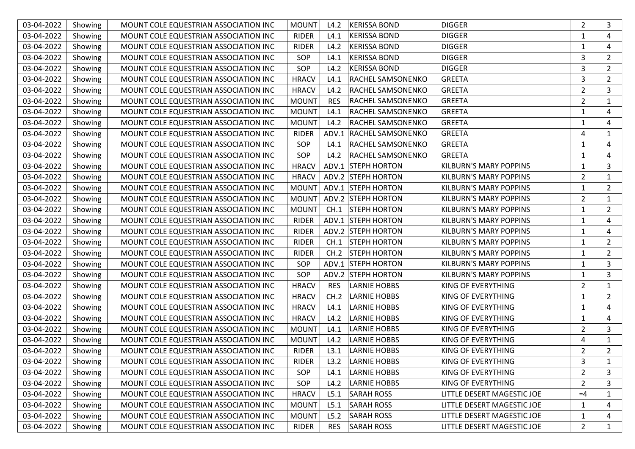| 03-04-2022 | Showing | MOUNT COLE EQUESTRIAN ASSOCIATION INC | <b>MOUNT</b> | L4.2       | <b>KERISSA BOND</b>      | <b>DIGGER</b>                 | $\overline{2}$ | 3              |
|------------|---------|---------------------------------------|--------------|------------|--------------------------|-------------------------------|----------------|----------------|
| 03-04-2022 | Showing | MOUNT COLE EQUESTRIAN ASSOCIATION INC | <b>RIDER</b> | L4.1       | <b>KERISSA BOND</b>      | <b>DIGGER</b>                 | 1              | 4              |
| 03-04-2022 | Showing | MOUNT COLE EQUESTRIAN ASSOCIATION INC | <b>RIDER</b> | L4.2       | <b>KERISSA BOND</b>      | <b>DIGGER</b>                 |                | 4              |
| 03-04-2022 | Showing | MOUNT COLE EQUESTRIAN ASSOCIATION INC | SOP          | L4.1       | <b>KERISSA BOND</b>      | <b>DIGGER</b>                 | 3              | $\overline{2}$ |
| 03-04-2022 | Showing | MOUNT COLE EQUESTRIAN ASSOCIATION INC | SOP          | L4.2       | <b>KERISSA BOND</b>      | <b>DIGGER</b>                 | 3              | $\overline{2}$ |
| 03-04-2022 | Showing | MOUNT COLE EQUESTRIAN ASSOCIATION INC | <b>HRACV</b> | L4.1       | <b>RACHEL SAMSONENKO</b> | <b>GREETA</b>                 | 3              | $\overline{2}$ |
| 03-04-2022 | Showing | MOUNT COLE EQUESTRIAN ASSOCIATION INC | <b>HRACV</b> | L4.2       | <b>RACHEL SAMSONENKO</b> | <b>GREETA</b>                 | $\overline{2}$ | 3              |
| 03-04-2022 | Showing | MOUNT COLE EQUESTRIAN ASSOCIATION INC | <b>MOUNT</b> | <b>RES</b> | <b>RACHEL SAMSONENKO</b> | <b>GREETA</b>                 | $\overline{2}$ | 1              |
| 03-04-2022 | Showing | MOUNT COLE EQUESTRIAN ASSOCIATION INC | <b>MOUNT</b> | L4.1       | <b>RACHEL SAMSONENKO</b> | <b>GREETA</b>                 |                | 4              |
| 03-04-2022 | Showing | MOUNT COLE EQUESTRIAN ASSOCIATION INC | <b>MOUNT</b> | L4.2       | <b>RACHEL SAMSONENKO</b> | <b>GREETA</b>                 | 1              | 4              |
| 03-04-2022 | Showing | MOUNT COLE EQUESTRIAN ASSOCIATION INC | <b>RIDER</b> |            | ADV.1 RACHEL SAMSONENKO  | <b>GREETA</b>                 | 4              | $\mathbf{1}$   |
| 03-04-2022 | Showing | MOUNT COLE EQUESTRIAN ASSOCIATION INC | SOP          | L4.1       | <b>RACHEL SAMSONENKO</b> | <b>GREETA</b>                 | 1              | 4              |
| 03-04-2022 | Showing | MOUNT COLE EQUESTRIAN ASSOCIATION INC | SOP          | L4.2       | <b>RACHEL SAMSONENKO</b> | <b>GREETA</b>                 |                | 4              |
| 03-04-2022 | Showing | MOUNT COLE EQUESTRIAN ASSOCIATION INC | <b>HRACV</b> |            | ADV.1 STEPH HORTON       | <b>KILBURN'S MARY POPPINS</b> |                | 3              |
| 03-04-2022 | Showing | MOUNT COLE EQUESTRIAN ASSOCIATION INC | <b>HRACV</b> |            | ADV.2 STEPH HORTON       | <b>KILBURN'S MARY POPPINS</b> | $\overline{2}$ | $\mathbf{1}$   |
| 03-04-2022 | Showing | MOUNT COLE EQUESTRIAN ASSOCIATION INC | <b>MOUNT</b> |            | ADV.1 STEPH HORTON       | KILBURN'S MARY POPPINS        | 1              | $\overline{2}$ |
| 03-04-2022 | Showing | MOUNT COLE EQUESTRIAN ASSOCIATION INC | <b>MOUNT</b> |            | ADV.2 STEPH HORTON       | <b>KILBURN'S MARY POPPINS</b> | $\overline{2}$ | $\mathbf{1}$   |
| 03-04-2022 | Showing | MOUNT COLE EQUESTRIAN ASSOCIATION INC | <b>MOUNT</b> | CH.1       | <b>STEPH HORTON</b>      | <b>KILBURN'S MARY POPPINS</b> | 1              | $\overline{2}$ |
| 03-04-2022 | Showing | MOUNT COLE EQUESTRIAN ASSOCIATION INC | <b>RIDER</b> |            | ADV.1 STEPH HORTON       | <b>KILBURN'S MARY POPPINS</b> | 1              | 4              |
| 03-04-2022 | Showing | MOUNT COLE EQUESTRIAN ASSOCIATION INC | <b>RIDER</b> |            | ADV.2 STEPH HORTON       | <b>KILBURN'S MARY POPPINS</b> | 1              | 4              |
| 03-04-2022 | Showing | MOUNT COLE EQUESTRIAN ASSOCIATION INC | <b>RIDER</b> | CH.1       | <b>STEPH HORTON</b>      | KILBURN'S MARY POPPINS        | 1              | $\overline{2}$ |
| 03-04-2022 | Showing | MOUNT COLE EQUESTRIAN ASSOCIATION INC | <b>RIDER</b> | CH.2       | <b>STEPH HORTON</b>      | <b>KILBURN'S MARY POPPINS</b> | $\mathbf{1}$   | $\overline{2}$ |
| 03-04-2022 | Showing | MOUNT COLE EQUESTRIAN ASSOCIATION INC | SOP          |            | ADV.1 STEPH HORTON       | <b>KILBURN'S MARY POPPINS</b> | 1              | 3              |
| 03-04-2022 | Showing | MOUNT COLE EQUESTRIAN ASSOCIATION INC | SOP          |            | ADV.2 STEPH HORTON       | <b>KILBURN'S MARY POPPINS</b> | 1              | 3              |
| 03-04-2022 | Showing | MOUNT COLE EQUESTRIAN ASSOCIATION INC | <b>HRACV</b> | <b>RES</b> | <b>LARNIE HOBBS</b>      | KING OF EVERYTHING            | $\overline{2}$ | $\mathbf{1}$   |
| 03-04-2022 | Showing | MOUNT COLE EQUESTRIAN ASSOCIATION INC | <b>HRACV</b> | CH.2       | <b>LARNIE HOBBS</b>      | KING OF EVERYTHING            | 1              | $\overline{2}$ |
| 03-04-2022 | Showing | MOUNT COLE EQUESTRIAN ASSOCIATION INC | <b>HRACV</b> | L4.1       | <b>LARNIE HOBBS</b>      | KING OF EVERYTHING            | $\mathbf{1}$   | 4              |
| 03-04-2022 | Showing | MOUNT COLE EQUESTRIAN ASSOCIATION INC | <b>HRACV</b> | L4.2       | <b>LARNIE HOBBS</b>      | KING OF EVERYTHING            | 1              | 4              |
| 03-04-2022 | Showing | MOUNT COLE EQUESTRIAN ASSOCIATION INC | <b>MOUNT</b> | L4.1       | <b>LARNIE HOBBS</b>      | KING OF EVERYTHING            | $\overline{2}$ | 3              |
| 03-04-2022 | Showing | MOUNT COLE EQUESTRIAN ASSOCIATION INC | <b>MOUNT</b> | L4.2       | <b>LARNIE HOBBS</b>      | KING OF EVERYTHING            | 4              | $\mathbf{1}$   |
| 03-04-2022 | Showing | MOUNT COLE EQUESTRIAN ASSOCIATION INC | <b>RIDER</b> | L3.1       | <b>LARNIE HOBBS</b>      | KING OF EVERYTHING            | $\overline{2}$ | $2^{\circ}$    |
| 03-04-2022 | Showing | MOUNT COLE EQUESTRIAN ASSOCIATION INC | RIDER        | L3.2       | LARNIE HOBBS             | KING OF EVERYTHING            | 3              | 1              |
| 03-04-2022 | Showing | MOUNT COLE EQUESTRIAN ASSOCIATION INC | <b>SOP</b>   | L4.1       | <b>LARNIE HOBBS</b>      | KING OF EVERYTHING            | 2              | 3              |
| 03-04-2022 | Showing | MOUNT COLE EQUESTRIAN ASSOCIATION INC | SOP          | L4.2       | <b>LARNIE HOBBS</b>      | KING OF EVERYTHING            | $\overline{2}$ | 3              |
| 03-04-2022 | Showing | MOUNT COLE EQUESTRIAN ASSOCIATION INC | <b>HRACV</b> | L5.1       | <b>SARAH ROSS</b>        | LITTLE DESERT MAGESTIC JOE    | $=4$           | 1              |
| 03-04-2022 | Showing | MOUNT COLE EQUESTRIAN ASSOCIATION INC | <b>MOUNT</b> | L5.1       | SARAH ROSS               | LITTLE DESERT MAGESTIC JOE    | 1              | 4              |
| 03-04-2022 | Showing | MOUNT COLE EQUESTRIAN ASSOCIATION INC | <b>MOUNT</b> | L5.2       | <b>SARAH ROSS</b>        | LITTLE DESERT MAGESTIC JOE    | $\mathbf{1}$   | 4              |
| 03-04-2022 | Showing | MOUNT COLE EQUESTRIAN ASSOCIATION INC | RIDER        | <b>RES</b> | <b>SARAH ROSS</b>        | LITTLE DESERT MAGESTIC JOE    | $\overline{2}$ | $\mathbf{1}$   |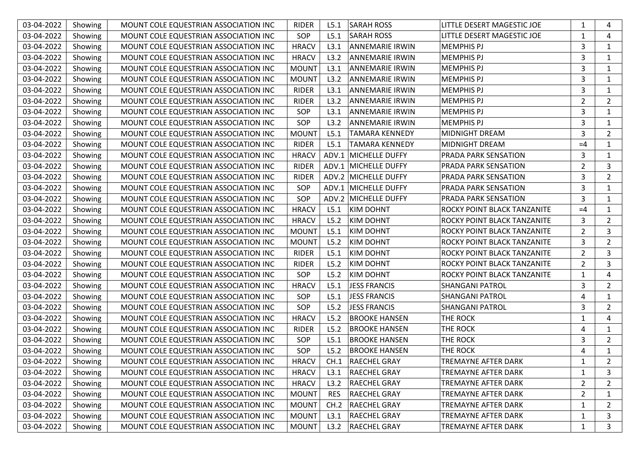| 03-04-2022 | Showing | MOUNT COLE EQUESTRIAN ASSOCIATION INC | <b>RIDER</b> | L5.1       | <b>SARAH ROSS</b>      | LITTLE DESERT MAGESTIC JOE  | 1              | 4              |
|------------|---------|---------------------------------------|--------------|------------|------------------------|-----------------------------|----------------|----------------|
| 03-04-2022 | Showing | MOUNT COLE EQUESTRIAN ASSOCIATION INC | SOP          | L5.1       | <b>SARAH ROSS</b>      | LITTLE DESERT MAGESTIC JOE  | $\mathbf{1}$   | 4              |
| 03-04-2022 | Showing | MOUNT COLE EQUESTRIAN ASSOCIATION INC | <b>HRACV</b> | L3.1       | <b>ANNEMARIE IRWIN</b> | MEMPHIS PJ                  | 3              | $\mathbf{1}$   |
| 03-04-2022 | Showing | MOUNT COLE EQUESTRIAN ASSOCIATION INC | <b>HRACV</b> | L3.2       | <b>ANNEMARIE IRWIN</b> | <b>MEMPHIS PJ</b>           | 3              | $\mathbf{1}$   |
| 03-04-2022 | Showing | MOUNT COLE EQUESTRIAN ASSOCIATION INC | <b>MOUNT</b> | L3.1       | <b>ANNEMARIE IRWIN</b> | <b>MEMPHIS PJ</b>           | 3              | $\mathbf{1}$   |
| 03-04-2022 | Showing | MOUNT COLE EQUESTRIAN ASSOCIATION INC | <b>MOUNT</b> | L3.2       | <b>ANNEMARIE IRWIN</b> | <b>MEMPHIS PJ</b>           | 3              | $\mathbf{1}$   |
| 03-04-2022 | Showing | MOUNT COLE EQUESTRIAN ASSOCIATION INC | <b>RIDER</b> | L3.1       | <b>ANNEMARIE IRWIN</b> | <b>MEMPHIS PJ</b>           | 3              | $\mathbf{1}$   |
| 03-04-2022 | Showing | MOUNT COLE EQUESTRIAN ASSOCIATION INC | <b>RIDER</b> | L3.2       | ANNEMARIE IRWIN        | <b>MEMPHIS PJ</b>           | 2              | $\overline{2}$ |
| 03-04-2022 | Showing | MOUNT COLE EQUESTRIAN ASSOCIATION INC | SOP          | L3.1       | <b>ANNEMARIE IRWIN</b> | <b>MEMPHIS PJ</b>           | 3              | $\mathbf{1}$   |
| 03-04-2022 | Showing | MOUNT COLE EQUESTRIAN ASSOCIATION INC | SOP          | L3.2       | <b>ANNEMARIE IRWIN</b> | <b>MEMPHIS PJ</b>           | 3              | $\mathbf{1}$   |
| 03-04-2022 | Showing | MOUNT COLE EQUESTRIAN ASSOCIATION INC | <b>MOUNT</b> | L5.1       | <b>TAMARA KENNEDY</b>  | MIDNIGHT DREAM              | 3              | $\overline{2}$ |
| 03-04-2022 | Showing | MOUNT COLE EQUESTRIAN ASSOCIATION INC | <b>RIDER</b> | L5.1       | <b>TAMARA KENNEDY</b>  | <b>MIDNIGHT DREAM</b>       | $=4$           | $\mathbf{1}$   |
| 03-04-2022 | Showing | MOUNT COLE EQUESTRIAN ASSOCIATION INC | <b>HRACV</b> |            | ADV.1 MICHELLE DUFFY   | <b>PRADA PARK SENSATION</b> | 3              | $\mathbf{1}$   |
| 03-04-2022 | Showing | MOUNT COLE EQUESTRIAN ASSOCIATION INC | <b>RIDER</b> |            | ADV.1 MICHELLE DUFFY   | <b>PRADA PARK SENSATION</b> | $\overline{2}$ | $\mathbf{3}$   |
| 03-04-2022 | Showing | MOUNT COLE EQUESTRIAN ASSOCIATION INC | <b>RIDER</b> |            | ADV.2 MICHELLE DUFFY   | <b>PRADA PARK SENSATION</b> | 3              | $\overline{2}$ |
| 03-04-2022 | Showing | MOUNT COLE EQUESTRIAN ASSOCIATION INC | SOP          |            | ADV.1 MICHELLE DUFFY   | PRADA PARK SENSATION        | 3              | $\mathbf{1}$   |
| 03-04-2022 | Showing | MOUNT COLE EQUESTRIAN ASSOCIATION INC | SOP          |            | ADV.2 MICHELLE DUFFY   | PRADA PARK SENSATION        | 3              | $\mathbf{1}$   |
| 03-04-2022 | Showing | MOUNT COLE EQUESTRIAN ASSOCIATION INC | <b>HRACV</b> | L5.1       | <b>KIM DOHNT</b>       | ROCKY POINT BLACK TANZANITE | $=4$           | 1              |
| 03-04-2022 | Showing | MOUNT COLE EQUESTRIAN ASSOCIATION INC | <b>HRACV</b> | L5.2       | <b>KIM DOHNT</b>       | ROCKY POINT BLACK TANZANITE | 3              | $\overline{2}$ |
| 03-04-2022 | Showing | MOUNT COLE EQUESTRIAN ASSOCIATION INC | <b>MOUNT</b> | L5.1       | <b>KIM DOHNT</b>       | ROCKY POINT BLACK TANZANITE | $\overline{2}$ | $\mathbf{3}$   |
| 03-04-2022 | Showing | MOUNT COLE EQUESTRIAN ASSOCIATION INC | <b>MOUNT</b> | L5.2       | <b>KIM DOHNT</b>       | ROCKY POINT BLACK TANZANITE | 3              | $\overline{2}$ |
| 03-04-2022 | Showing | MOUNT COLE EQUESTRIAN ASSOCIATION INC | <b>RIDER</b> | L5.1       | <b>KIM DOHNT</b>       | ROCKY POINT BLACK TANZANITE | $\overline{2}$ | 3              |
| 03-04-2022 | Showing | MOUNT COLE EQUESTRIAN ASSOCIATION INC | <b>RIDER</b> | L5.2       | <b>KIM DOHNT</b>       | ROCKY POINT BLACK TANZANITE | $\overline{2}$ | 3              |
| 03-04-2022 | Showing | MOUNT COLE EQUESTRIAN ASSOCIATION INC | SOP          | L5.2       | <b>KIM DOHNT</b>       | ROCKY POINT BLACK TANZANITE | $\mathbf{1}$   | 4              |
| 03-04-2022 | Showing | MOUNT COLE EQUESTRIAN ASSOCIATION INC | <b>HRACV</b> | L5.1       | <b>JESS FRANCIS</b>    | <b>SHANGANI PATROL</b>      | 3              | $\overline{2}$ |
| 03-04-2022 | Showing | MOUNT COLE EQUESTRIAN ASSOCIATION INC | SOP          | L5.1       | JESS FRANCIS           | <b>SHANGANI PATROL</b>      | 4              | $\mathbf{1}$   |
| 03-04-2022 | Showing | MOUNT COLE EQUESTRIAN ASSOCIATION INC | SOP          | L5.2       | <b>JESS FRANCIS</b>    | <b>SHANGANI PATROL</b>      | 3              | $\overline{2}$ |
| 03-04-2022 | Showing | MOUNT COLE EQUESTRIAN ASSOCIATION INC | <b>HRACV</b> | L5.2       | <b>BROOKE HANSEN</b>   | THE ROCK                    | 1              | 4              |
| 03-04-2022 | Showing | MOUNT COLE EQUESTRIAN ASSOCIATION INC | <b>RIDER</b> | L5.2       | <b>BROOKE HANSEN</b>   | THE ROCK                    | 4              | $\mathbf{1}$   |
| 03-04-2022 | Showing | MOUNT COLE EQUESTRIAN ASSOCIATION INC | SOP          | L5.1       | <b>BROOKE HANSEN</b>   | THE ROCK                    | 3              | $\overline{2}$ |
| 03-04-2022 | Showing | MOUNT COLE EQUESTRIAN ASSOCIATION INC | SOP          | L5.2       | <b>BROOKE HANSEN</b>   | THE ROCK                    | 4              | $\mathbf{1}$   |
| 03-04-2022 | Showing | MOUNT COLE EQUESTRIAN ASSOCIATION INC | <b>HRACV</b> | CH.1       | <b>RAECHEL GRAY</b>    | <b>TREMAYNE AFTER DARK</b>  | 1              | 2              |
| 03-04-2022 | Showing | MOUNT COLE EQUESTRIAN ASSOCIATION INC | <b>HRACV</b> | L3.1       | <b>RAECHEL GRAY</b>    | <b>TREMAYNE AFTER DARK</b>  | 1              | 3              |
| 03-04-2022 | Showing | MOUNT COLE EQUESTRIAN ASSOCIATION INC | <b>HRACV</b> | L3.2       | <b>RAECHEL GRAY</b>    | TREMAYNE AFTER DARK         | 2              | 2              |
| 03-04-2022 | Showing | MOUNT COLE EQUESTRIAN ASSOCIATION INC | <b>MOUNT</b> | <b>RES</b> | <b>RAECHEL GRAY</b>    | TREMAYNE AFTER DARK         | $\overline{2}$ | 1              |
| 03-04-2022 | Showing | MOUNT COLE EQUESTRIAN ASSOCIATION INC | <b>MOUNT</b> | CH.2       | <b>RAECHEL GRAY</b>    | TREMAYNE AFTER DARK         | 1              | 2              |
| 03-04-2022 | Showing | MOUNT COLE EQUESTRIAN ASSOCIATION INC | <b>MOUNT</b> | L3.1       | <b>RAECHEL GRAY</b>    | TREMAYNE AFTER DARK         | $\mathbf{1}$   | 3              |
| 03-04-2022 | Showing | MOUNT COLE EQUESTRIAN ASSOCIATION INC | <b>MOUNT</b> | L3.2       | <b>RAECHEL GRAY</b>    | TREMAYNE AFTER DARK         | $\mathbf{1}$   | 3              |